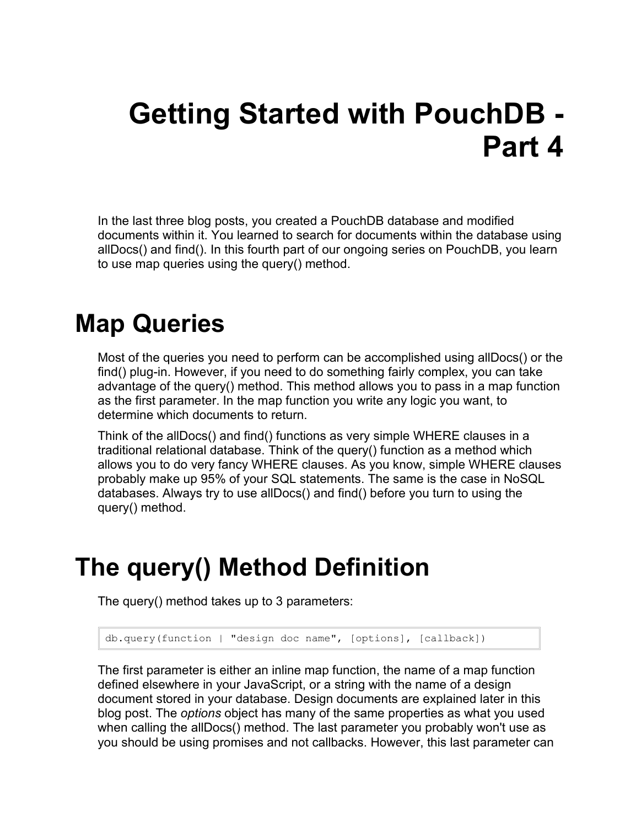# **Getting Started with PouchDB - Part 4**

In the last three blog posts, you created a PouchDB database and modified documents within it. You learned to search for documents within the database using allDocs() and find(). In this fourth part of our ongoing series on PouchDB, you learn to use map queries using the query() method.

### **Map Queries**

Most of the queries you need to perform can be accomplished using allDocs() or the find() plug-in. However, if you need to do something fairly complex, you can take advantage of the query() method. This method allows you to pass in a map function as the first parameter. In the map function you write any logic you want, to determine which documents to return.

Think of the allDocs() and find() functions as very simple WHERE clauses in a traditional relational database. Think of the query() function as a method which allows you to do very fancy WHERE clauses. As you know, simple WHERE clauses probably make up 95% of your SQL statements. The same is the case in NoSQL databases. Always try to use allDocs() and find() before you turn to using the query() method.

### **The query() Method Definition**

The query() method takes up to 3 parameters:

db.query(function | "design doc name", [options], [callback])

The first parameter is either an inline map function, the name of a map function defined elsewhere in your JavaScript, or a string with the name of a design document stored in your database. Design documents are explained later in this blog post. The *options* object has many of the same properties as what you used when calling the allDocs() method. The last parameter you probably won't use as you should be using promises and not callbacks. However, this last parameter can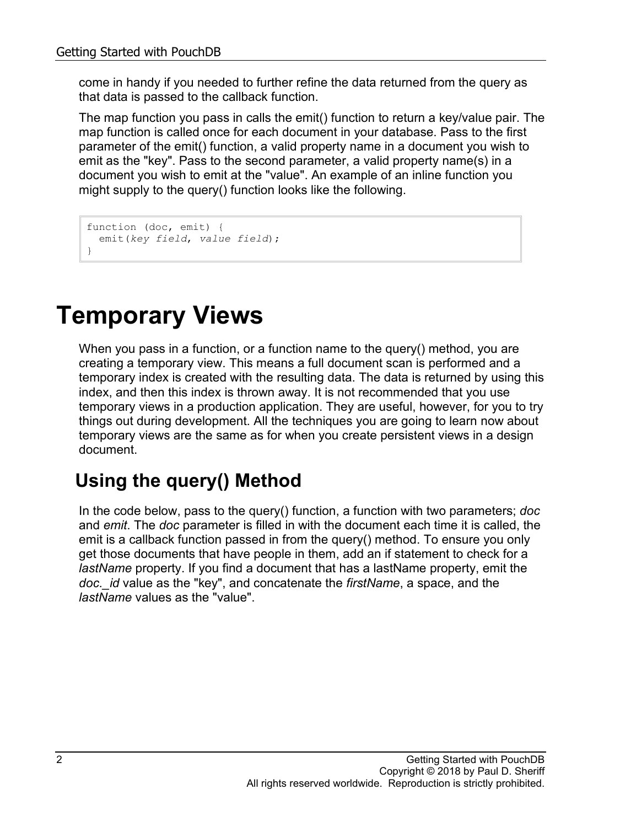come in handy if you needed to further refine the data returned from the query as that data is passed to the callback function.

The map function you pass in calls the emit() function to return a key/value pair. The map function is called once for each document in your database. Pass to the first parameter of the emit() function, a valid property name in a document you wish to emit as the "key". Pass to the second parameter, a valid property name(s) in a document you wish to emit at the "value". An example of an inline function you might supply to the query() function looks like the following.

```
function (doc, emit) {
  emit(key field, value field);
}
```
# **Temporary Views**

When you pass in a function, or a function name to the query() method, you are creating a temporary view. This means a full document scan is performed and a temporary index is created with the resulting data. The data is returned by using this index, and then this index is thrown away. It is not recommended that you use temporary views in a production application. They are useful, however, for you to try things out during development. All the techniques you are going to learn now about temporary views are the same as for when you create persistent views in a design document.

### **Using the query() Method**

In the code below, pass to the query() function, a function with two parameters; *doc* and *emit*. The *doc* parameter is filled in with the document each time it is called, the emit is a callback function passed in from the query() method. To ensure you only get those documents that have people in them, add an if statement to check for a *lastName* property. If you find a document that has a lastName property, emit the *doc.\_id* value as the "key", and concatenate the *firstName*, a space, and the *lastName* values as the "value".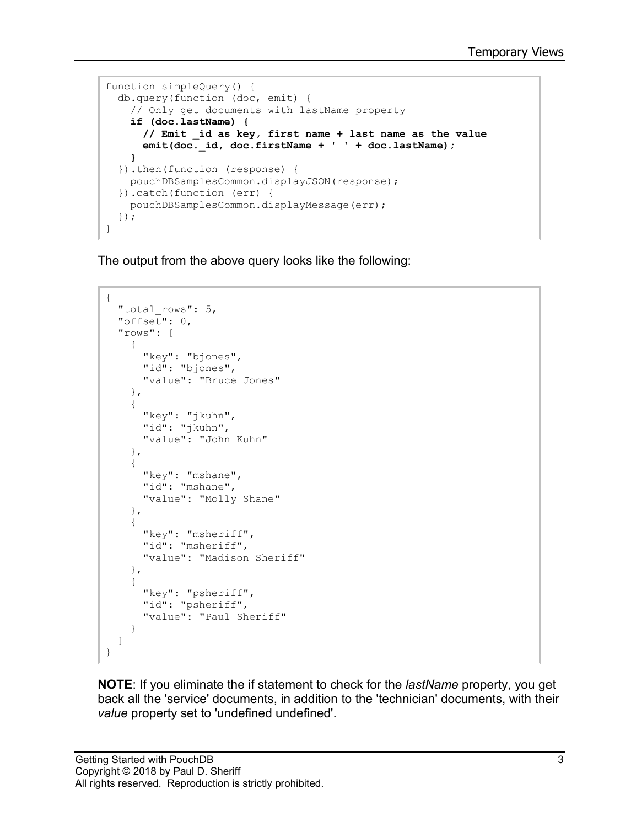```
function simpleQuery() {
  db.query(function (doc, emit) {
     // Only get documents with lastName property
     if (doc.lastName) {
       // Emit _id as key, first name + last name as the value
       emit(doc._id, doc.firstName + ' ' + doc.lastName);
     }
   }).then(function (response) {
     pouchDBSamplesCommon.displayJSON(response);
   }).catch(function (err) {
     pouchDBSamplesCommon.displayMessage(err);
   });
}
```
The output from the above query looks like the following:

```
{
  "total rows": 5,
   "offset": 0,
   "rows": [
     {
       "key": "bjones",
       "id": "bjones",
       "value": "Bruce Jones"
     },
     {
       "key": "jkuhn",
       "id": "jkuhn",
       "value": "John Kuhn"
     },
     {
       "key": "mshane",
       "id": "mshane",
       "value": "Molly Shane"
     },
     {
      "key": "msheriff",
       "id": "msheriff",
       "value": "Madison Sheriff"
     },
     {
       "key": "psheriff",
       "id": "psheriff",
       "value": "Paul Sheriff"
     }
   ]
}
```
**NOTE**: If you eliminate the if statement to check for the *lastName* property, you get back all the 'service' documents, in addition to the 'technician' documents, with their *value* property set to 'undefined undefined'.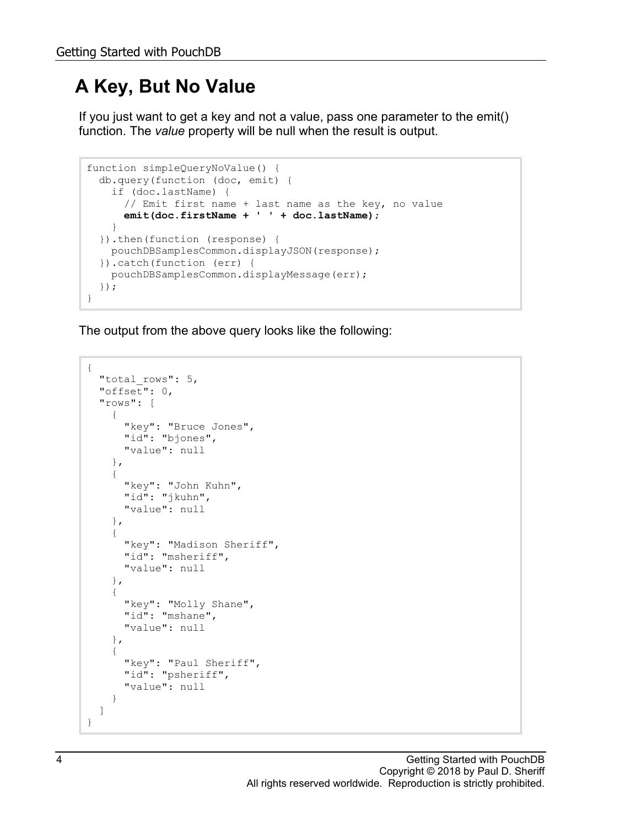### **A Key, But No Value**

If you just want to get a key and not a value, pass one parameter to the emit() function. The *value* property will be null when the result is output.

```
function simpleQueryNoValue() {
  db.query(function (doc, emit) {
     if (doc.lastName) {
       // Emit first name + last name as the key, no value
       emit(doc.firstName + ' ' + doc.lastName);
     }
  }).then(function (response) {
    pouchDBSamplesCommon.displayJSON(response);
   }).catch(function (err) {
    pouchDBSamplesCommon.displayMessage(err);
  });
}
```

```
{
  "total rows": 5,
   "offset": 0,
   "rows": [
     {
       "key": "Bruce Jones",
       "id": "bjones",
       "value": null
     },
     {
       "key": "John Kuhn",
       "id": "jkuhn",
       "value": null
     },
     {
       "key": "Madison Sheriff",
       "id": "msheriff",
       "value": null
     },
     {
      "key": "Molly Shane",
       "id": "mshane",
       "value": null
     },
     {
       "key": "Paul Sheriff",
       "id": "psheriff",
       "value": null
     }
   ]
}
```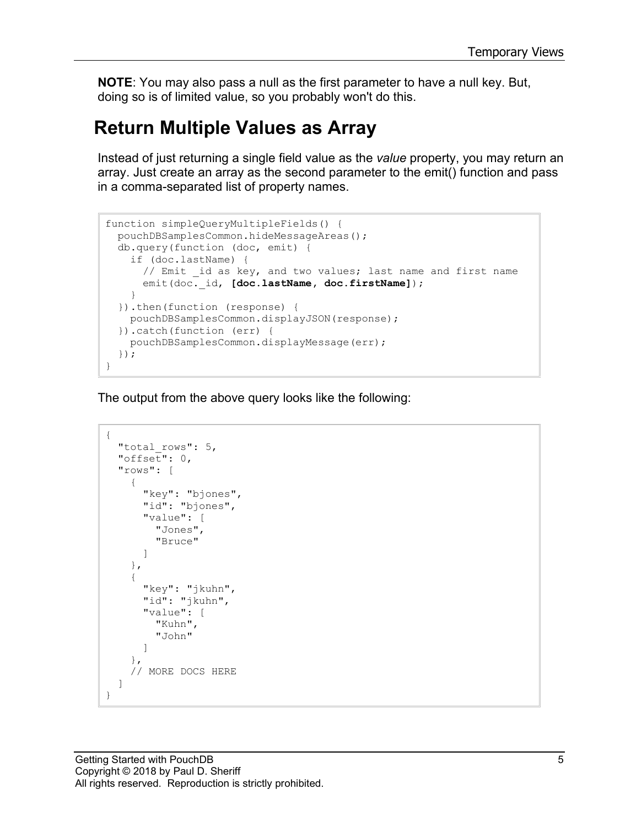**NOTE**: You may also pass a null as the first parameter to have a null key. But, doing so is of limited value, so you probably won't do this.

#### **Return Multiple Values as Array**

Instead of just returning a single field value as the *value* property, you may return an array. Just create an array as the second parameter to the emit() function and pass in a comma-separated list of property names.

```
function simpleQueryMultipleFields() {
  pouchDBSamplesCommon.hideMessageAreas();
  db.query(function (doc, emit) {
     if (doc.lastName) {
      // Emit id as key, and two values; last name and first name
      emit(doc. id, [doc.lastName, doc.firstName]);
     }
   }).then(function (response) {
    pouchDBSamplesCommon.displayJSON(response);
   }).catch(function (err) {
    pouchDBSamplesCommon.displayMessage(err);
   });
}
```

```
{
   "total_rows": 5,
  "offset": 0, "rows": [
     {
        "key": "bjones",
        "id": "bjones",
        "value": [
         "Jones",
          "Bruce"
        ]
     },
     {
        "key": "jkuhn",
       "id": "jkuhn",
        "value": [
          "Kuhn",
          "John"
        ]
     },
     // MORE DOCS HERE
   ]
}
```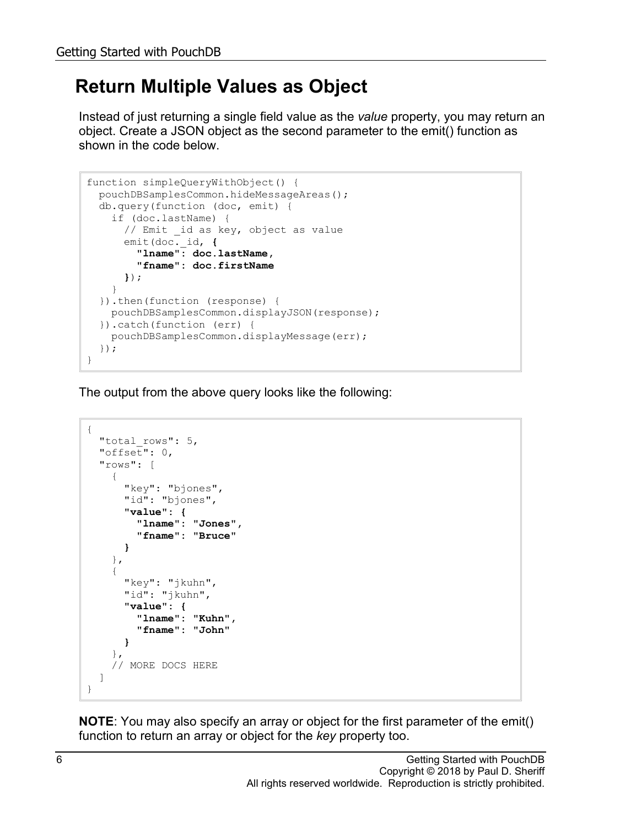#### **Return Multiple Values as Object**

Instead of just returning a single field value as the *value* property, you may return an object. Create a JSON object as the second parameter to the emit() function as shown in the code below.

```
function simpleQueryWithObject() {
  pouchDBSamplesCommon.hideMessageAreas();
   db.query(function (doc, emit) {
    if (doc.lastName) {
      // Emit id as key, object as value
 emit(doc._id, { 
 "lname": doc.lastName, 
         "fname": doc.firstName 
       });
    }
   }).then(function (response) {
    pouchDBSamplesCommon.displayJSON(response);
   }).catch(function (err) {
    pouchDBSamplesCommon.displayMessage(err);
   });
}
```
The output from the above query looks like the following:

```
{
  "total rows": 5,
   "offset": 0,
   "rows": [
     {
       "key": "bjones",
        "id": "bjones",
        "value": {
          "lname": "Jones",
          "fname": "Bruce"
        }
     },
     {
        "key": "jkuhn",
        "id": "jkuhn",
        "value": {
          "lname": "Kuhn",
          "fname": "John"
        }
     },
     // MORE DOCS HERE
   ]
}
```
**NOTE**: You may also specify an array or object for the first parameter of the emit() function to return an array or object for the *key* property too.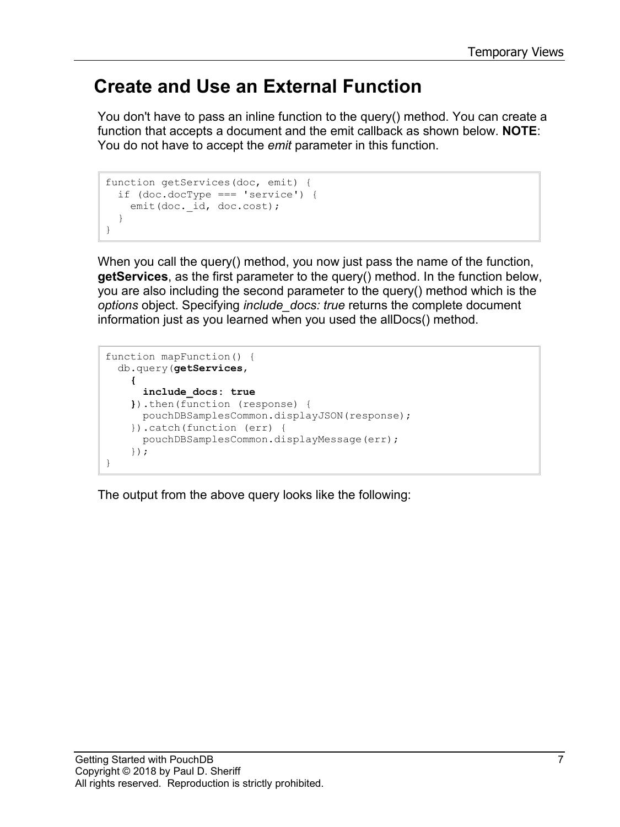#### **Create and Use an External Function**

You don't have to pass an inline function to the query() method. You can create a function that accepts a document and the emit callback as shown below. **NOTE**: You do not have to accept the *emit* parameter in this function.

```
function getServices(doc, emit) {
   if (doc.docType === 'service') {
   emit(doc. id, doc.cost);
   }
}
```
When you call the query() method, you now just pass the name of the function, **getServices**, as the first parameter to the query() method. In the function below, you are also including the second parameter to the query() method which is the *options* object. Specifying *include\_docs: true* returns the complete document information just as you learned when you used the allDocs() method.

```
function mapFunction() {
   db.query(getServices,
     {
       include_docs: true
     }).then(function (response) {
      pouchDBSamplesCommon.displayJSON(response);
     }).catch(function (err) {
      pouchDBSamplesCommon.displayMessage(err);
     });
}
```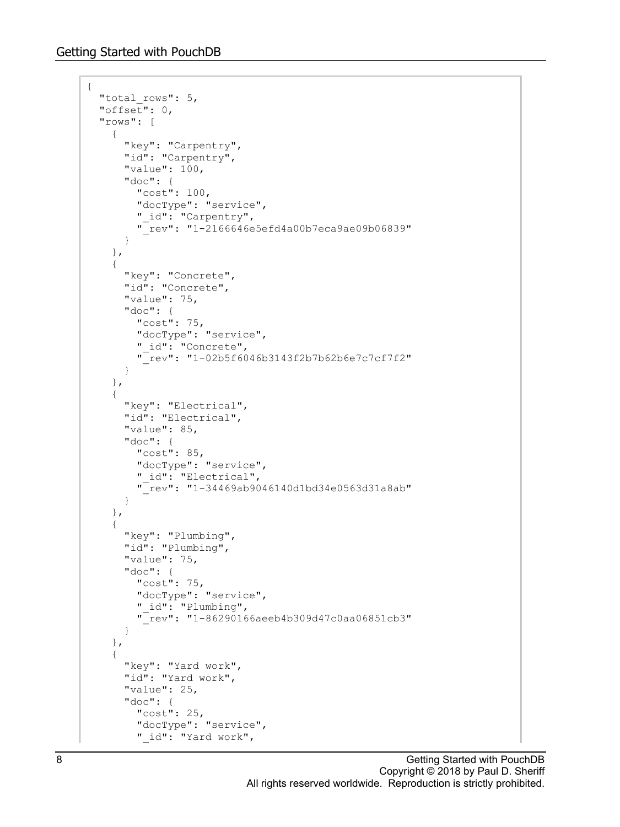{

```
"total rows": 5,
 "offset": 0,
 "rows": [
   {
     "key": "Carpentry",
     "id": "Carpentry",
     "value": 100,
     "doc": {
       "cost": 100,
       "docType": "service",
      " id": "Carpentry",
       "_rev": "1-2166646e5efd4a00b7eca9ae09b06839"
     }
   },
   {
     "key": "Concrete",
     "id": "Concrete",
     "value": 75,
     "doc": {
       "cost": 75,
       "docType": "service",
      " id": "Concrete",
       "_rev": "1-02b5f6046b3143f2b7b62b6e7c7cf7f2"
     }
   },
   {
     "key": "Electrical",
     "id": "Electrical",
     "value": 85,
     "doc": {
       "cost": 85,
       "docType": "service",
      " id": "Electrical",
       "_rev": "1-34469ab9046140d1bd34e0563d31a8ab"
     }
   },
   {
    "key": "Plumbing",
     "id": "Plumbing",
     "value": 75,
     "doc": {
       "cost": 75,
       "docType": "service",
       "_id": "Plumbing",
       "_rev": "1-86290166aeeb4b309d47c0aa06851cb3"
     }
   },
   {
    "key": "Yard work",
     "id": "Yard work",
     "value": 25,
     "doc": {
       "cost": 25,
       "docType": "service",
      " id": "Yard work",
```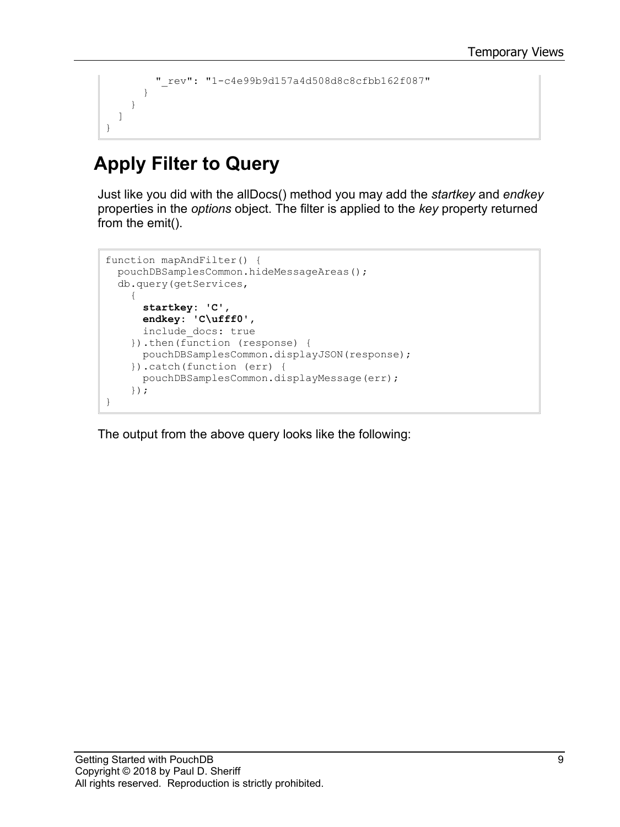```
 "_rev": "1-c4e99b9d157a4d508d8c8cfbb162f087"
        }
     }
   ]
}
```
### **Apply Filter to Query**

Just like you did with the allDocs() method you may add the *startkey* and *endkey* properties in the *options* object. The filter is applied to the *key* property returned from the emit().

```
function mapAndFilter() {
  pouchDBSamplesCommon.hideMessageAreas();
   db.query(getServices,
     {
       startkey: 'C',
       endkey: 'C\ufff0',
       include_docs: true
     }).then(function (response) {
       pouchDBSamplesCommon.displayJSON(response);
     }).catch(function (err) {
       pouchDBSamplesCommon.displayMessage(err);
     });
}
```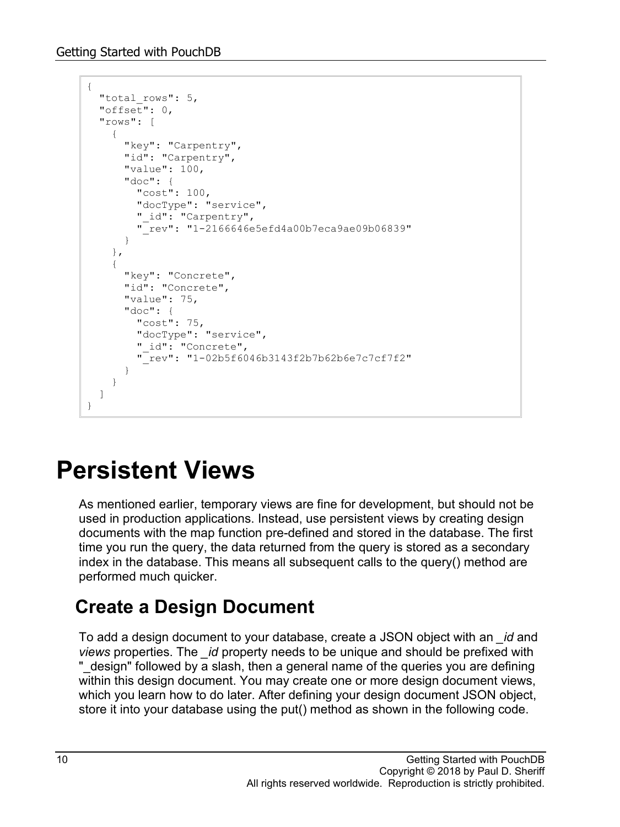```
{
  "total rows": 5,
   "offset": 0,
   "rows": [
     {
       "key": "Carpentry",
       "id": "Carpentry",
       "value": 100,
       "doc": {
         "cost": 100,
         "docType": "service",
        " id": "Carpentry",
         "_rev": "1-2166646e5efd4a00b7eca9ae09b06839"
       }
     },
     {
       "key": "Concrete",
      "id": "Concrete",
       "value": 75,
       "doc": {
         "cost": 75,
         "docType": "service",
        " id": "Concrete",
         "_rev": "1-02b5f6046b3143f2b7b62b6e7c7cf7f2"
       }
     }
   ]
}
```
## **Persistent Views**

As mentioned earlier, temporary views are fine for development, but should not be used in production applications. Instead, use persistent views by creating design documents with the map function pre-defined and stored in the database. The first time you run the query, the data returned from the query is stored as a secondary index in the database. This means all subsequent calls to the query() method are performed much quicker.

### **Create a Design Document**

To add a design document to your database, create a JSON object with an *\_id* and *views* properties. The *\_id* property needs to be unique and should be prefixed with "\_design" followed by a slash, then a general name of the queries you are defining within this design document. You may create one or more design document views, which you learn how to do later. After defining your design document JSON object, store it into your database using the put() method as shown in the following code.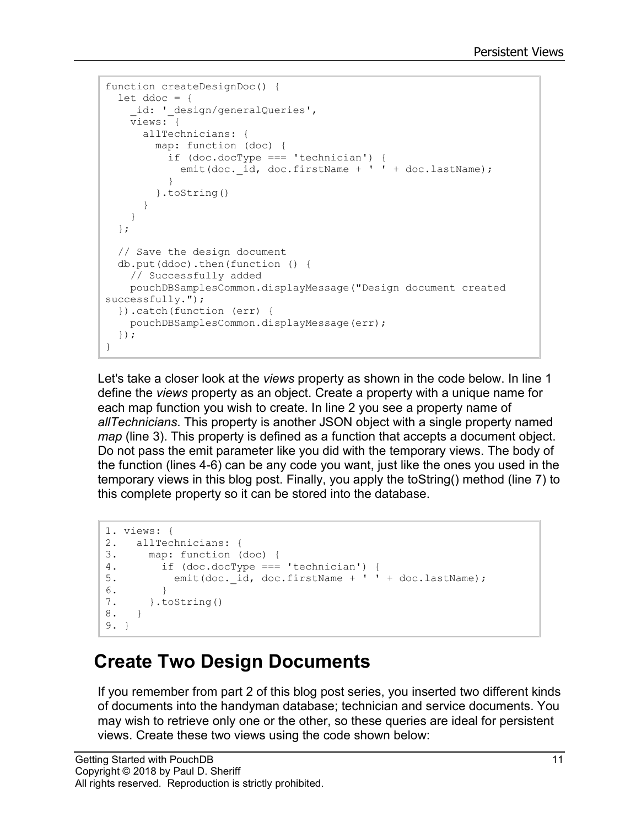```
function createDesignDoc() {
 let ddoc = \{id: ' design/generalQueries',
    views: {
      allTechnicians: {
        map: function (doc) {
           if (doc.docType === 'technician') {
            emit(doc. id, doc.firstName + ' ' + doc.lastName);
 }
         }.toString()
       }
     }
   };
   // Save the design document
  db.put(ddoc).then(function () {
    // Successfully added
    pouchDBSamplesCommon.displayMessage("Design document created 
successfully.");
   }).catch(function (err) {
    pouchDBSamplesCommon.displayMessage(err);
   });
}
```
Let's take a closer look at the *views* property as shown in the code below. In line 1 define the *views* property as an object. Create a property with a unique name for each map function you wish to create. In line 2 you see a property name of *allTechnicians*. This property is another JSON object with a single property named *map* (line 3). This property is defined as a function that accepts a document object. Do not pass the emit parameter like you did with the temporary views. The body of the function (lines 4-6) can be any code you want, just like the ones you used in the temporary views in this blog post. Finally, you apply the toString() method (line 7) to this complete property so it can be stored into the database.

```
1. views: {
2. allTechnicians: {<br>3. map: function (
3. map: function (doc) {<br>4. if (doc.docType ===
4. if (doc.docType === 'technician') {<br>5. emit(doc.id, doc.firstName + ''
               emit(doc. id, doc.firstName + ' ' + doc.lastName);
6. }<br>7. }.t
      7. }.toString()
8. }
9. }
```
#### **Create Two Design Documents**

If you remember from part 2 of this blog post series, you inserted two different kinds of documents into the handyman database; technician and service documents. You may wish to retrieve only one or the other, so these queries are ideal for persistent views. Create these two views using the code shown below: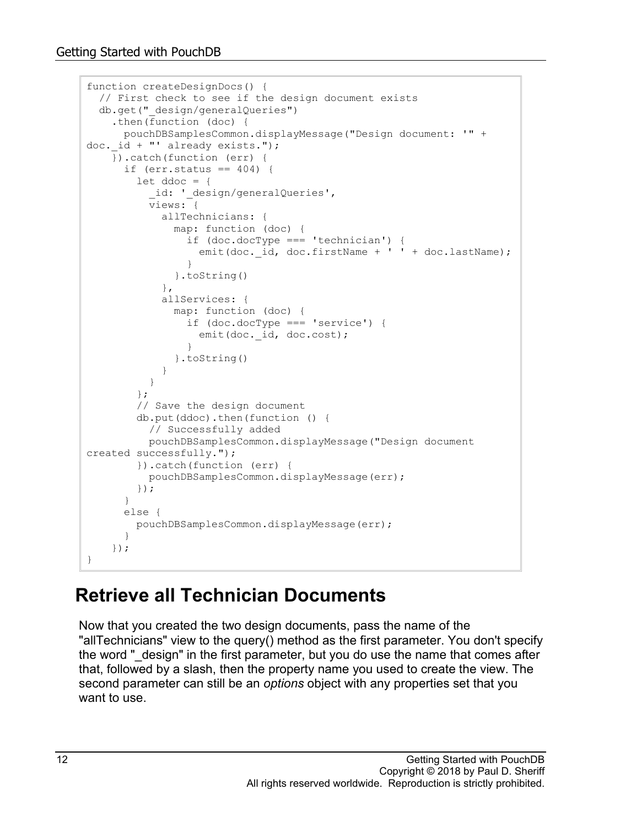```
function createDesignDocs() {
   // First check to see if the design document exists
   db.get("_design/generalQueries")
     .then(function (doc) {
      pouchDBSamplesCommon.displayMessage("Design document: '" + 
doc. id + "' already exists.");
     }).catch(function (err) {
      if (err.status == 404) {
        let ddoc = \{ _id: '_design/generalQueries',
           views: {
             allTechnicians: {
              map: function (doc) {
                 if (doc.docType === 'technician') {
                 emit(doc. id, doc.firstName + ' ' + doc.lastName);
 }
              }.toString()
            },
             allServices: {
              map: function (doc) {
                 if (doc.docType === 'service') {
                  emit(doc. id, doc.cost);
 }
               }.toString()
 }
 }
         };
         // Save the design document
        db.put(ddoc).then(function () {
          // Successfully added
          pouchDBSamplesCommon.displayMessage("Design document 
created successfully.");
        }).catch(function (err) {
          pouchDBSamplesCommon.displayMessage(err);
         });
       }
       else {
         pouchDBSamplesCommon.displayMessage(err);
 }
     });
}
```
#### **Retrieve all Technician Documents**

Now that you created the two design documents, pass the name of the "allTechnicians" view to the query() method as the first parameter. You don't specify the word " design" in the first parameter, but you do use the name that comes after that, followed by a slash, then the property name you used to create the view. The second parameter can still be an *options* object with any properties set that you want to use.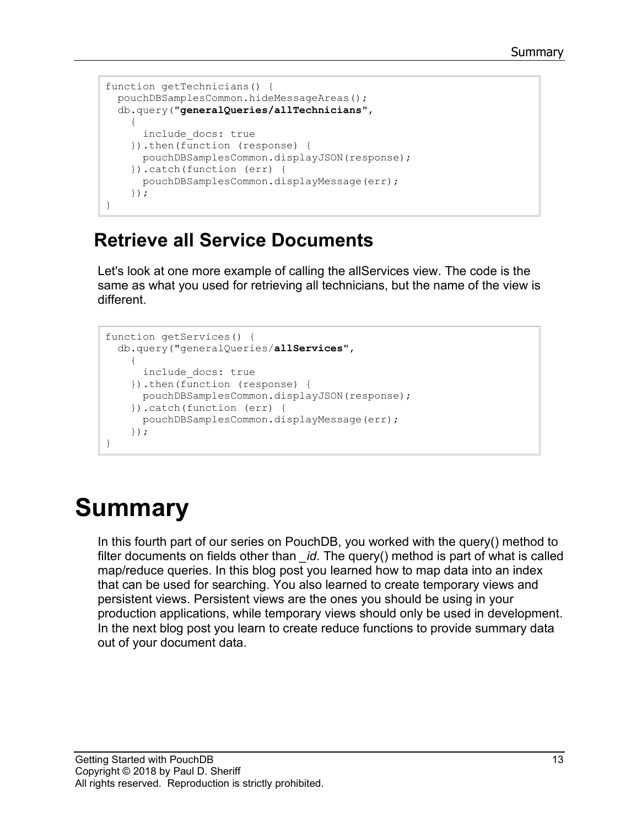```
function getTechnicians() {
   pouchDBSamplesCommon.hideMessageAreas();
   db.query("generalQueries/allTechnicians",
\left\{\begin{array}{ccc} \end{array}\right\} include_docs: true
     }).then(function (response) {
       pouchDBSamplesCommon.displayJSON(response);
     }).catch(function (err) {
        pouchDBSamplesCommon.displayMessage(err);
     });
}
```
#### **Retrieve all Service Documents**

Let's look at one more example of calling the allServices view. The code is the same as what you used for retrieving all technicians, but the name of the view is different.

```
function getServices() {
   db.query("generalQueries/allServices",
     {
       include_docs: true
     }).then(function (response) {
      pouchDBSamplesCommon.displayJSON(response);
     }).catch(function (err) {
       pouchDBSamplesCommon.displayMessage(err);
     });
}
```
# **Summary**

In this fourth part of our series on PouchDB, you worked with the query() method to filter documents on fields other than *\_id*. The query() method is part of what is called map/reduce queries. In this blog post you learned how to map data into an index that can be used for searching. You also learned to create temporary views and persistent views. Persistent views are the ones you should be using in your production applications, while temporary views should only be used in development. In the next blog post you learn to create reduce functions to provide summary data out of your document data.